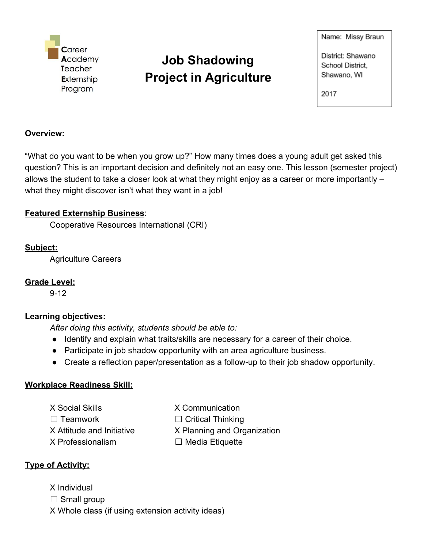

# **Job Shadowing Project in Agriculture**

Name: Missy Braun

District: Shawano School District, Shawano, WI

2017

### **Overview:**

"What do you want to be when you grow up?" How many times does a young adult get asked this question? This is an important decision and definitely not an easy one. This lesson (semester project) allows the student to take a closer look at what they might enjoy as a career or more importantly – what they might discover isn't what they want in a job!

# **Featured Externship Business**:

Cooperative Resources International (CRI)

# **Subject:**

Agriculture Careers

# **Grade Level:**

9-12

# **Learning objectives:**

*After doing this activity, students should be able to:*

- Identify and explain what traits/skills are necessary for a career of their choice.
- Participate in job shadow opportunity with an area agriculture business.
- Create a reflection paper/presentation as a follow-up to their job shadow opportunity.

# **Workplace Readiness Skill:**

X Social Skills X Communication ☐ Teamwork ☐ Critical Thinking X Professionalism ☐ Media Etiquette

- 
- 

X Attitude and Initiative X Planning and Organization

# **Type of Activity:**

X Individual  $\Box$  Small group X Whole class (if using extension activity ideas)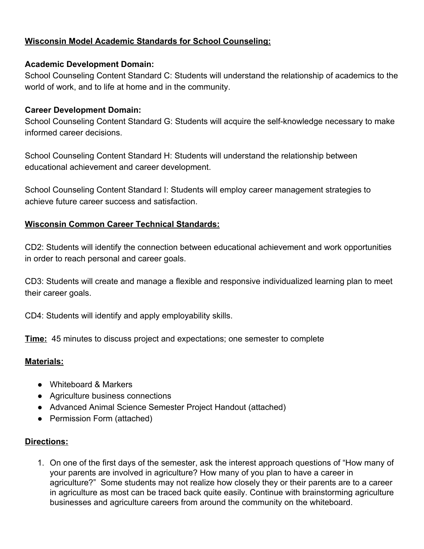### **Wisconsin Model Academic Standards for School Counseling:**

#### **Academic Development Domain:**

School Counseling Content Standard C: Students will understand the relationship of academics to the world of work, and to life at home and in the community.

#### **Career Development Domain:**

School Counseling Content Standard G: Students will acquire the self-knowledge necessary to make informed career decisions.

School Counseling Content Standard H: Students will understand the relationship between educational achievement and career development.

School Counseling Content Standard I: Students will employ career management strategies to achieve future career success and satisfaction.

#### **Wisconsin Common Career Technical Standards:**

CD2: Students will identify the connection between educational achievement and work opportunities in order to reach personal and career goals.

CD3: Students will create and manage a flexible and responsive individualized learning plan to meet their career goals.

CD4: Students will identify and apply employability skills.

**Time:** 45 minutes to discuss project and expectations; one semester to complete

#### **Materials:**

- Whiteboard & Markers
- Agriculture business connections
- Advanced Animal Science Semester Project Handout (attached)
- Permission Form (attached)

#### **Directions:**

1. On one of the first days of the semester, ask the interest approach questions of "How many of your parents are involved in agriculture? How many of you plan to have a career in agriculture?" Some students may not realize how closely they or their parents are to a career in agriculture as most can be traced back quite easily. Continue with brainstorming agriculture businesses and agriculture careers from around the community on the whiteboard.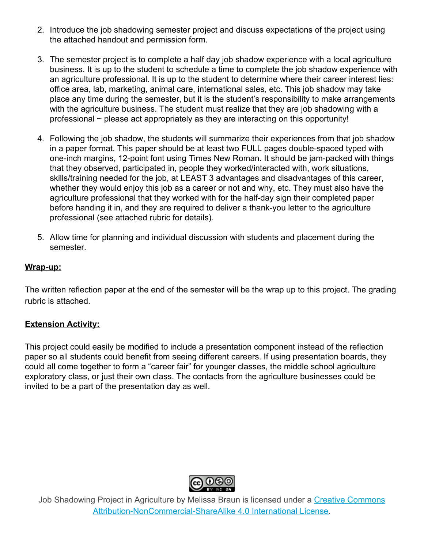- 2. Introduce the job shadowing semester project and discuss expectations of the project using the attached handout and permission form.
- 3. The semester project is to complete a half day job shadow experience with a local agriculture business. It is up to the student to schedule a time to complete the job shadow experience with an agriculture professional. It is up to the student to determine where their career interest lies: office area, lab, marketing, animal care, international sales, etc. This job shadow may take place any time during the semester, but it is the student's responsibility to make arrangements with the agriculture business. The student must realize that they are job shadowing with a professional ~ please act appropriately as they are interacting on this opportunity!
- 4. Following the job shadow, the students will summarize their experiences from that job shadow in a paper format. This paper should be at least two FULL pages double-spaced typed with one-inch margins, 12-point font using Times New Roman. It should be jam-packed with things that they observed, participated in, people they worked/interacted with, work situations, skills/training needed for the job, at LEAST 3 advantages and disadvantages of this career, whether they would enjoy this job as a career or not and why, etc. They must also have the agriculture professional that they worked with for the half-day sign their completed paper before handing it in, and they are required to deliver a thank-you letter to the agriculture professional (see attached rubric for details).
- 5. Allow time for planning and individual discussion with students and placement during the semester.

#### **Wrap-up:**

The written reflection paper at the end of the semester will be the wrap up to this project. The grading rubric is attached.

#### **Extension Activity:**

This project could easily be modified to include a presentation component instead of the reflection paper so all students could benefit from seeing different careers. If using presentation boards, they could all come together to form a "career fair" for younger classes, the middle school agriculture exploratory class, or just their own class. The contacts from the agriculture businesses could be invited to be a part of the presentation day as well.



Job Shadowing Project in Agriculture by Melissa Braun is licensed under a Creative [Commons](http://creativecommons.org/licenses/by-nc-sa/4.0/) [Attribution-NonCommercial-ShareAlike](http://creativecommons.org/licenses/by-nc-sa/4.0/) 4.0 International License.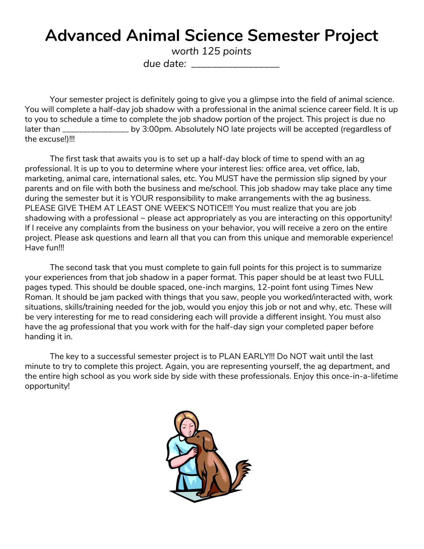# **Advanced Animal Science Semester Project**

*worth 125 points*

*due date: \_\_\_\_\_\_\_\_\_\_\_\_\_\_\_\_\_*

Your semester project is definitely going to give you a glimpse into the field of animal science. You will complete a half-day job shadow with a professional in the animal science career field. It is up to you to schedule a time to complete the job shadow portion of the project. This project is due no later than \_\_\_\_\_\_\_\_\_\_\_\_\_\_\_\_\_\_ by 3:00pm. Absolutely NO late projects will be accepted (regardless of the excuse!)!!!

The first task that awaits you is to set up a half-day block of time to spend with an ag professional. It is up to you to determine where your interest lies: office area, vet office, lab, marketing, animal care, international sales, etc. You MUST have the permission slip signed by your parents and on file with both the business and me/school. This job shadow may take place any time during the semester but it is YOUR responsibility to make arrangements with the ag business. PLEASE GIVE THEM AT LEAST ONE WEEK'S NOTICE!!! You must realize that you are job shadowing with a professional ~ please act appropriately as you are interacting on this opportunity! If I receive any complaints from the business on your behavior, you will receive a zero on the entire project. Please ask questions and learn all that you can from this unique and memorable experience! Have fun!!!

The second task that you must complete to gain full points for this project is to summarize your experiences from that job shadow in a paper format. This paper should be at least two FULL pages typed. This should be double spaced, one-inch margins, 12-point font using Times New Roman. It should be jam packed with things that you saw, people you worked/interacted with, work situations, skills/training needed for the job, would you enjoy this job or not and why, etc. These will be very interesting for me to read considering each will provide a different insight. You must also have the ag professional that you work with for the half-day sign your completed paper before handing it in.

The key to a successful semester project is to PLAN EARLY!!! Do NOT wait until the last minute to try to complete this project. Again, you are representing yourself, the ag department, and the entire high school as you work side by side with these professionals. Enjoy this once-in-a-lifetime opportunity!

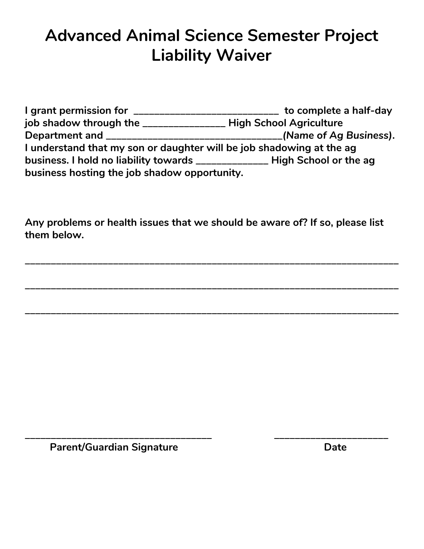# **Advanced Animal Science Semester Project Liability Waiver**

**I grant permission for \_\_\_\_\_\_\_\_\_\_\_\_\_\_\_\_\_\_\_\_\_\_\_\_\_\_\_\_ to complete a half-day job shadow through the \_\_\_\_\_\_\_\_\_\_\_\_\_\_\_\_ High School Agriculture Department and \_\_\_\_\_\_\_\_\_\_\_\_\_\_\_\_\_\_\_\_\_\_\_\_\_\_\_\_\_\_\_\_\_\_***( Name of Ag Business)***. I understand that my son or daughter will be job shadowing at the ag business. I hold no liability towards \_\_\_\_\_\_\_\_\_\_\_\_\_\_ High School or the ag business hosting the job shadow opportunity.**

**Any problems or health issues that we should be aware of? If so, please list them below.**

**\_\_\_\_\_\_\_\_\_\_\_\_\_\_\_\_\_\_\_\_\_\_\_\_\_\_\_\_\_\_\_\_\_\_\_\_\_\_\_\_\_\_\_\_\_\_\_\_\_\_\_\_\_\_\_\_\_\_\_\_\_\_\_\_\_\_\_\_\_\_\_\_**

**\_\_\_\_\_\_\_\_\_\_\_\_\_\_\_\_\_\_\_\_\_\_\_\_\_\_\_\_\_\_\_\_\_\_\_\_\_\_\_\_\_\_\_\_\_\_\_\_\_\_\_\_\_\_\_\_\_\_\_\_\_\_\_\_\_\_\_\_\_\_\_\_**

**\_\_\_\_\_\_\_\_\_\_\_\_\_\_\_\_\_\_\_\_\_\_\_\_\_\_\_\_\_\_\_\_\_\_\_\_\_\_\_\_\_\_\_\_\_\_\_\_\_\_\_\_\_\_\_\_\_\_\_\_\_\_\_\_\_\_\_\_\_\_\_\_**

**\_\_\_\_\_\_\_\_\_\_\_\_\_\_\_\_\_\_\_\_\_\_\_\_\_\_\_\_\_\_\_\_\_\_\_\_ \_\_\_\_\_\_\_\_\_\_\_\_\_\_\_\_\_\_\_\_\_\_**

**Parent/Guardian Signature Date Date**